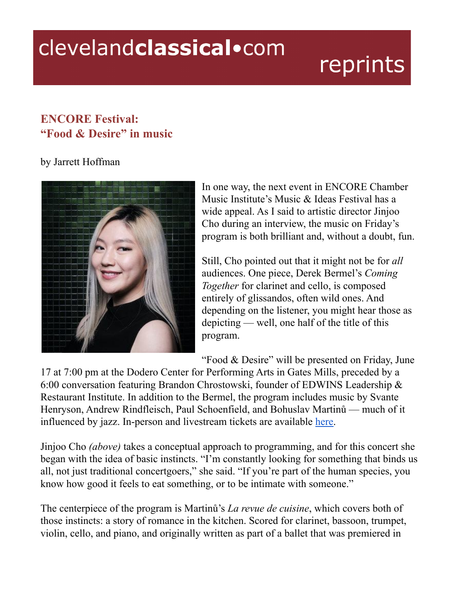## clevelandclassical.com

## reprints

## **ENCORE Festival: "Food & Desire" in music**

## by Jarrett Hoffman



In one way, the next event in ENCORE Chamber Music Institute's Music & Ideas Festival has a wide appeal. As I said to artistic director Jinjoo Cho during an interview, the music on Friday's program is both brilliant and, without a doubt, fun.

Still, Cho pointed out that it might not be for *all* audiences. One piece, Derek Bermel's *Coming Together* for clarinet and cello, is composed entirely of glissandos, often wild ones. And depending on the listener, you might hear those as depicting — well, one half of the title of this program.

"Food & Desire" will be presented on Friday, June

17 at 7:00 pm at the Dodero Center for Performing Arts in Gates Mills, preceded by a 6:00 conversation featuring Brandon Chrostowski, founder of EDWINS Leadership & Restaurant Institute. In addition to the Bermel, the program includes music by Svante Henryson, Andrew Rindfleisch, Paul Schoenfield, and Bohuslav Martinů — much of it influenced by jazz. In-person and livestream tickets are available [here.](https://www.encorechambermusic.org/events)

Jinjoo Cho *(above)* takes a conceptual approach to programming, and for this concert she began with the idea of basic instincts. "I'm constantly looking for something that binds us all, not just traditional concertgoers," she said. "If you're part of the human species, you know how good it feels to eat something, or to be intimate with someone."

The centerpiece of the program is Martinů's *La revue de cuisine*, which covers both of those instincts: a story of romance in the kitchen. Scored for clarinet, bassoon, trumpet, violin, cello, and piano, and originally written as part of a ballet that was premiered in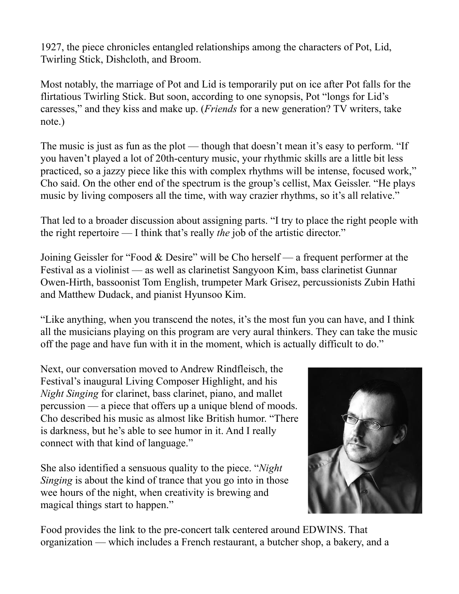1927, the piece chronicles entangled relationships among the characters of Pot, Lid, Twirling Stick, Dishcloth, and Broom.

Most notably, the marriage of Pot and Lid is temporarily put on ice after Pot falls for the flirtatious Twirling Stick. But soon, according to one synopsis, Pot "longs for Lid's caresses," and they kiss and make up. (*Friends* for a new generation? TV writers, take note.)

The music is just as fun as the plot — though that doesn't mean it's easy to perform. "If you haven't played a lot of 20th-century music, your rhythmic skills are a little bit less practiced, so a jazzy piece like this with complex rhythms will be intense, focused work," Cho said. On the other end of the spectrum is the group's cellist, Max Geissler. "He plays music by living composers all the time, with way crazier rhythms, so it's all relative."

That led to a broader discussion about assigning parts. "I try to place the right people with the right repertoire — I think that's really *the* job of the artistic director."

Joining Geissler for "Food & Desire" will be Cho herself — a frequent performer at the Festival as a violinist — as well as clarinetist Sangyoon Kim, bass clarinetist Gunnar Owen-Hirth, bassoonist Tom English, trumpeter Mark Grisez, percussionists Zubin Hathi and Matthew Dudack, and pianist Hyunsoo Kim.

"Like anything, when you transcend the notes, it's the most fun you can have, and I think all the musicians playing on this program are very aural thinkers. They can take the music off the page and have fun with it in the moment, which is actually difficult to do."

Next, our conversation moved to Andrew Rindfleisch, the Festival's inaugural Living Composer Highlight, and his *Night Singing* for clarinet, bass clarinet, piano, and mallet percussion — a piece that offers up a unique blend of moods. Cho described his music as almost like British humor. "There is darkness, but he's able to see humor in it. And I really connect with that kind of language."

She also identified a sensuous quality to the piece. "*Night Singing* is about the kind of trance that you go into in those wee hours of the night, when creativity is brewing and magical things start to happen."



Food provides the link to the pre-concert talk centered around EDWINS. That organization — which includes a French restaurant, a butcher shop, a bakery, and a